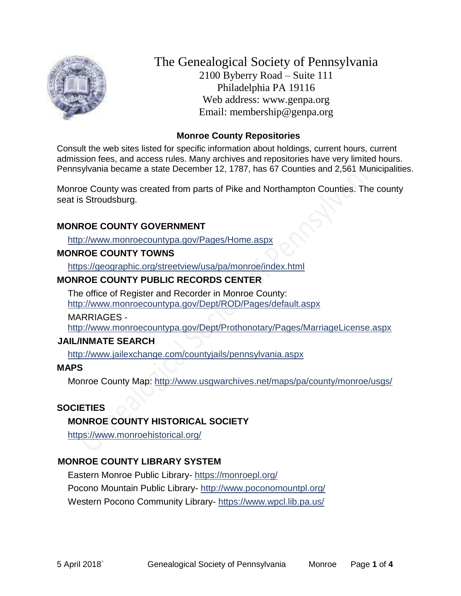

The Genealogical Society of Pennsylvania 2100 Byberry Road – Suite 111 Philadelphia PA 19116 Web address: www.genpa.org Email: membership@genpa.org

#### **Monroe County Repositories**

Consult the web sites listed for specific information about holdings, current hours, current admission fees, and access rules. Many archives and repositories have very limited hours. Pennsylvania became a state December 12, 1787, has 67 Counties and 2,561 Municipalities.

Monroe County was created from parts of Pike and Northampton Counties. The county seat is Stroudsburg.

### **MONROE COUNTY GOVERNMENT**

<http://www.monroecountypa.gov/Pages/Home.aspx>

#### **MONROE COUNTY TOWNS**

<https://geographic.org/streetview/usa/pa/monroe/index.html>

### **MONROE COUNTY PUBLIC RECORDS CENTER**

The office of Register and Recorder in Monroe County: <http://www.monroecountypa.gov/Dept/ROD/Pages/default.aspx>

MARRIAGES -

<http://www.monroecountypa.gov/Dept/Prothonotary/Pages/MarriageLicense.aspx>

### **JAIL/INMATE SEARCH**

<http://www.jailexchange.com/countyjails/pennsylvania.aspx>

### **MAPS**

Monroe County Map:<http://www.usgwarchives.net/maps/pa/county/monroe/usgs/>

### **SOCIETIES**

### **MONROE COUNTY HISTORICAL SOCIETY**

<https://www.monroehistorical.org/>

# **MONROE COUNTY LIBRARY SYSTEM**

Eastern Monroe Public Library- <https://monroepl.org/> Pocono Mountain Public Library- <http://www.poconomountpl.org/> Western Pocono Community Library- <https://www.wpcl.lib.pa.us/>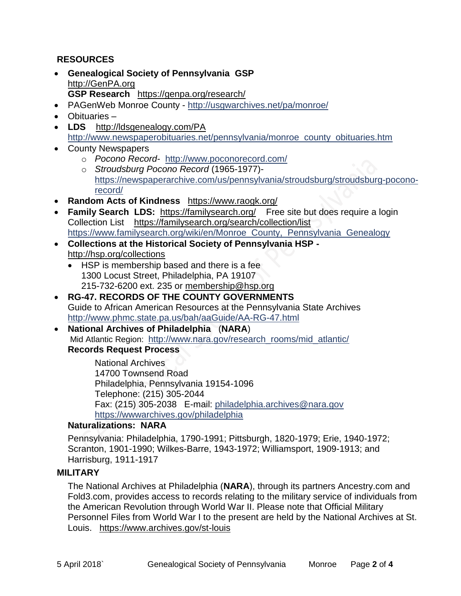### **RESOURCES**

- **Genealogical Society of Pennsylvania GSP** [http://GenPA.org](http://genpa.org/) **GSP Research** <https://genpa.org/research/>
- PAGenWeb Monroe County <http://usgwarchives.net/pa/monroe/>
- Obituaries –
- **LDS** <http://ldsgenealogy.com/PA> [http://www.newspaperobituaries.net/pennsylvania/monroe\\_county\\_obituaries.htm](http://www.newspaperobituaries.net/pennsylvania/monroe_county_obituaries.htm)
- County Newspapers
	- o *Pocono Record* <http://www.poconorecord.com/>
	- o *Stroudsburg Pocono Record* (1965-1977) [https://newspaperarchive.com/us/pennsylvania/stroudsburg/stroudsburg-pocono](https://newspaperarchive.com/us/pennsylvania/stroudsburg/stroudsburg-pocono-record/)[record/](https://newspaperarchive.com/us/pennsylvania/stroudsburg/stroudsburg-pocono-record/)
- **Random Acts of Kindness** <https://www.raogk.org/>
- **Family Search LDS:** <https://familysearch.org/>Free site but does require a login Collection List <https://familysearch.org/search/collection/list> https://www.familysearch.org/wiki/en/Monroe County, Pennsylvania Genealogy
- **Collections at the Historical Society of Pennsylvania HSP**  <http://hsp.org/collections>
	- HSP is membership based and there is a fee 1300 Locust Street, Philadelphia, PA 19107 215-732-6200 ext. 235 or [membership@hsp.org](mailto:membership@hsp.org)
- **RG-47. RECORDS OF THE COUNTY GOVERNMENTS** Guide to African American Resources at the Pennsylvania State Archives <http://www.phmc.state.pa.us/bah/aaGuide/AA-RG-47.html>
- **National Archives of Philadelphia** (**NARA**) Mid Atlantic Region: [http://www.nara.gov/research\\_rooms/mid\\_atlantic/](http://www.nara.gov/research_rooms/mid_atlantic/) **Records Request Process**

National Archives 14700 Townsend Road Philadelphia, Pennsylvania 19154-1096 Telephone: (215) 305-2044 Fax: (215) 305-2038 E-mail: [philadelphia.archives@nara.gov](mailto:philadelphia.archives@nara.gov) <https://wwwarchives.gov/philadelphia>

### **Naturalizations: NARA**

Pennsylvania: Philadelphia, 1790-1991; Pittsburgh, 1820-1979; Erie, 1940-1972; Scranton, 1901-1990; Wilkes-Barre, 1943-1972; Williamsport, 1909-1913; and Harrisburg, 1911-1917

### **MILITARY**

The National Archives at Philadelphia (**NARA**), through its partners Ancestry.com and Fold3.com, provides access to records relating to the military service of individuals from the American Revolution through World War II. Please note that Official Military Personnel Files from World War I to the present are held by the National Archives at St. Louis. <https://www.archives.gov/st-louis>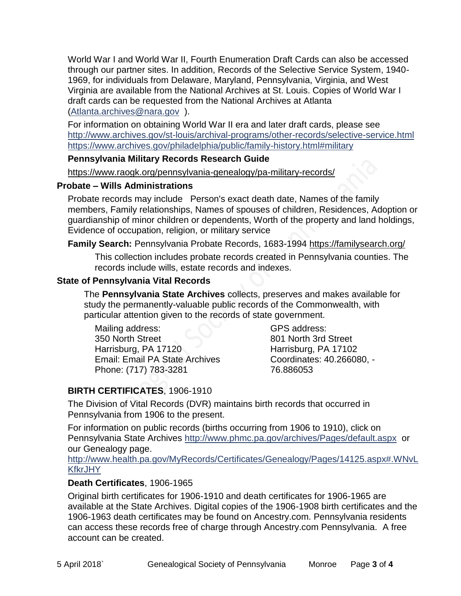World War I and World War II, Fourth Enumeration Draft Cards can also be accessed through our partner sites. In addition, Records of the Selective Service System, 1940- 1969, for individuals from Delaware, Maryland, Pennsylvania, Virginia, and West Virginia are available from the National Archives at St. Louis. Copies of World War I draft cards can be requested from the National Archives at Atlanta [\(Atlanta.archives@nara.gov](mailto:Atlanta.archives@nara.gov) ).

For information on obtaining World War II era and later draft cards, please see <http://www.archives.gov/st-louis/archival-programs/other-records/selective-service.html> <https://www.archives.gov/philadelphia/public/family-history.html#military>

#### **Pennsylvania Military Records Research Guide**

<https://www.raogk.org/pennsylvania-genealogy/pa-military-records/>

#### **Probate – Wills Administrations**

Probate records may include Person's exact death date, Names of the family members, Family relationships, Names of spouses of children, Residences, Adoption or guardianship of minor children or dependents, Worth of the property and land holdings, Evidence of occupation, religion, or military service

### **Family Search:** Pennsylvania Probate Records, 1683-1994 <https://familysearch.org/>

This collection includes probate records created in Pennsylvania counties. The records include wills, estate records and indexes.

### **State of Pennsylvania Vital Records**

The **Pennsylvania State Archives** collects, preserves and makes available for study the permanently-valuable public records of the Commonwealth, with particular attention given to the records of state government.

Mailing address: 350 North Street Harrisburg, PA 17120 Email: Email PA State Archives Phone: (717) 783-3281

GPS address: 801 North 3rd Street Harrisburg, PA 17102 Coordinates: 40.266080, - 76.886053

# **BIRTH CERTIFICATES**, 1906-1910

The Division of Vital Records (DVR) maintains birth records that occurred in Pennsylvania from 1906 to the present.

For information on public records (births occurring from 1906 to 1910), click on Pennsylvania State Archives <http://www.phmc.pa.gov/archives/Pages/default.aspx>or our Genealogy page.

[http://www.health.pa.gov/MyRecords/Certificates/Genealogy/Pages/14125.aspx#.WNvL](http://www.health.pa.gov/MyRecords/Certificates/Genealogy/Pages/14125.aspx#.WNvLKfkrJHY) **[KfkrJHY](http://www.health.pa.gov/MyRecords/Certificates/Genealogy/Pages/14125.aspx#.WNvLKfkrJHY)** 

### **Death Certificates**, 1906-1965

Original birth certificates for 1906-1910 and death certificates for 1906-1965 are available at the State Archives. Digital copies of the 1906-1908 birth certificates and the 1906-1963 death certificates may be found on Ancestry.com. Pennsylvania residents can access these records free of charge through Ancestry.com Pennsylvania. A free account can be created.